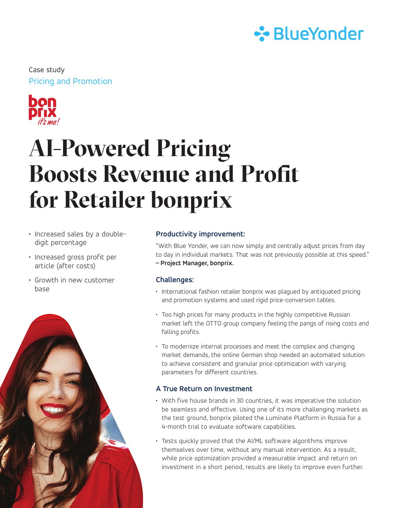

Pricing and Promotion Case study



# **AI-Powered Pricing Boosts Revenue and Profit for Retailer bonprix**

- Increased sales by a doubledigit percentage
- Increased gross profit per article (after costs)
- Growth in new customer base



# **Productivity improvement:**

"With Blue Yonder, we can now simply and centrally adjust prices from day to day in individual markets. That was not previously possible at this speed." **– Project Manager, bonprix.**

# **Challenges:**

- International fashion retailer bonprix was plagued by antiquated pricing and promotion systems and used rigid price-conversion tables.
- Too high prices for many products in the highly competitive Russian market left the OTTO group company feeling the pangs of rising costs and falling profits.
- To modernize internal processes and meet the complex and changing market demands, the online German shop needed an automated solution to achieve consistent and granular price optimization with varying parameters for different countries.

# **A True Return on Investment**

- With five house brands in 30 countries, it was imperative the solution be seamless and effective. Using one of its more challenging markets as the test ground, bonprix piloted the Luminate Platform in Russia for a 4-month trial to evaluate software capabilities.
- Tests quickly proved that the AI/ML software algorithms improve themselves over time, without any manual intervention. As a result, while price optimization provided a measurable impact and return on investment in a short period, results are likely to improve even further.